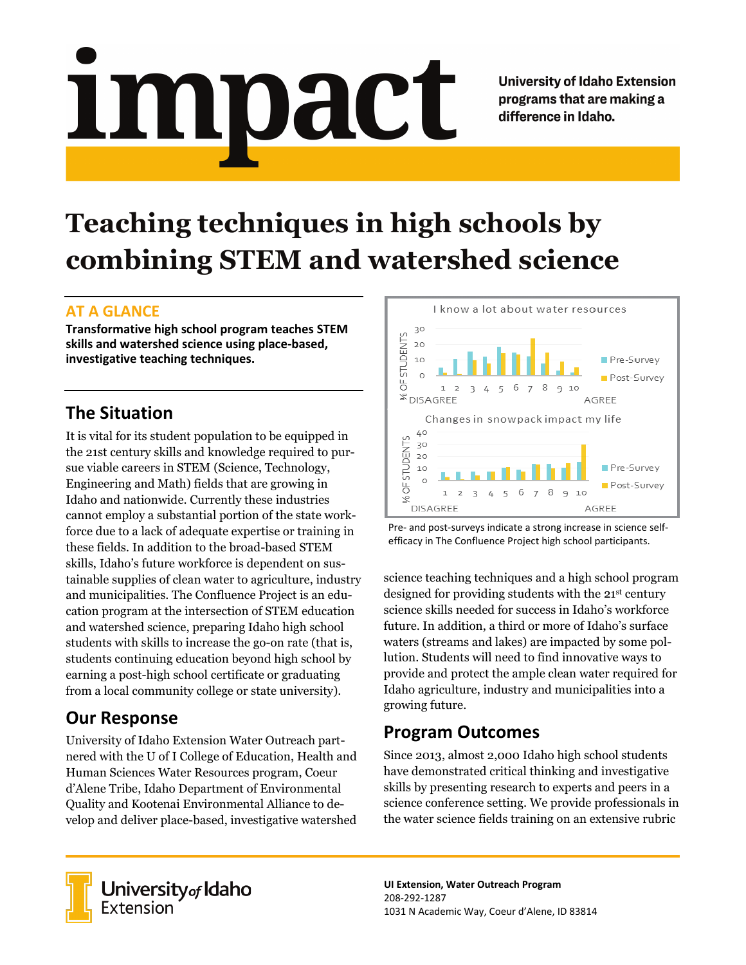**University of Idaho Extension** programs that are making a difference in Idaho.

# **Teaching techniques in high schools by combining STEM and watershed science**

mpact

#### **AT A GLANCE**

 $\blacksquare$ 

**Transformative high school program teaches STEM skills and watershed science using place-based, investigative teaching techniques.**

## **The Situation**

It is vital for its student population to be equipped in the 21st century skills and knowledge required to pursue viable careers in STEM (Science, Technology, Engineering and Math) fields that are growing in Idaho and nationwide. Currently these industries cannot employ a substantial portion of the state workforce due to a lack of adequate expertise or training in these fields*.* In addition to the broad-based STEM skills, Idaho's future workforce is dependent on sustainable supplies of clean water to agriculture, industry and municipalities. The Confluence Project is an education program at the intersection of STEM education and watershed science, preparing Idaho high school students with skills to increase the go-on rate (that is, students continuing education beyond high school by earning a post-high school certificate or graduating from a local community college or state university).

# **Our Response**

University of Idaho Extension Water Outreach partnered with the U of I College of Education, Health and Human Sciences Water Resources program, Coeur d'Alene Tribe, Idaho Department of Environmental Quality and Kootenai Environmental Alliance to develop and deliver place-based, investigative watershed



Pre- and post-surveys indicate a strong increase in science selfefficacy in The Confluence Project high school participants.

science teaching techniques and a high school program designed for providing students with the 21st century science skills needed for success in Idaho's workforce future. In addition, a third or more of Idaho's surface waters (streams and lakes) are impacted by some pollution. Students will need to find innovative ways to provide and protect the ample clean water required for Idaho agriculture, industry and municipalities into a growing future.

# **Program Outcomes**

Since 2013, almost 2,000 Idaho high school students have demonstrated critical thinking and investigative skills by presenting research to experts and peers in a science conference setting. We provide professionals in the water science fields training on an extensive rubric



University<sub>of</sub> Idaho **Extension** 

**UI Extension, Water Outreach Program** 208-292-1287 1031 N Academic Way, Coeur d'Alene, ID 83814